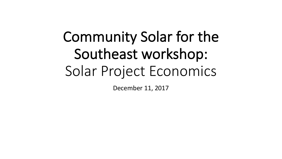# Community Solar for the Southeast workshop: Solar Project Economics

December 11, 2017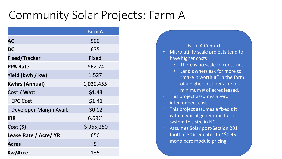### Community Solar Projects: Farm A

|                         | <b>Farm A</b> |
|-------------------------|---------------|
| <b>AC</b>               | 500           |
| <b>DC</b>               | 675           |
| <b>Fixed/Tracker</b>    | <b>Fixed</b>  |
| <b>PPA Rate</b>         | \$62.74       |
| Yield (kwh / kw)        | 1,527         |
| <b>Kwhrs (Annual)</b>   | 1,030,455     |
| Cost / Watt             | \$1.43        |
| <b>EPC Cost</b>         | \$1.41        |
| Developer Margin Avail. | \$0.02        |
| <b>IRR</b>              | 6.69%         |
| Cost (5)                | \$965,250     |
| Lease Rate / Acre/ YR   | 650           |
| <b>Acres</b>            | 5             |
| <b>Kw/Acre</b>          | 135           |

#### **Farm A Context**

- Micro utility-scale projects tend to have higher costs
	- There is no scale to construct
	- Land owners ask for more to "make it worth it" in the form of a higher cost per acre or a minimum # of acres leased.
- This project assumes a zero interconnect cost.
- This project assumes a fixed tilt with a typical generation for a system this size in NC
- Assumes Solar post-Section 201 tariff of 30% equates to  $\sim$ \$0.45 mono perc module pricing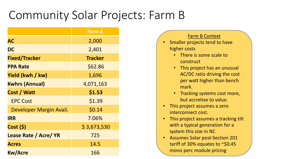## Community Solar Projects: Farm B

|                              | <b>Farm A</b>  |
|------------------------------|----------------|
| <b>AC</b>                    | 2,000          |
| <b>DC</b>                    | 2,401          |
| <b>Fixed/Tracker</b>         | <b>Tracker</b> |
| <b>PPA Rate</b>              | \$62.86        |
| Yield (kwh / kw)             | 1,696          |
| <b>Kwhrs (Annual)</b>        | 4,071,163      |
| Cost / Watt                  | \$1.53         |
| <b>EPC Cost</b>              | \$1.39         |
| Developer Margin Avail.      | \$0.14         |
| <b>IRR</b>                   | 7.06%          |
| Cost(5)                      | \$3,673,530    |
| <b>Lease Rate / Acre/ YR</b> | 725            |
| <b>Acres</b>                 | 14.5           |
| <b>Kw/Acre</b>               | 166            |

### Farm B Context Smaller projects tend to have higher costs  $\cdot$  There is some scale to construct • This project has an unusual

- AC/DC ratio driving the cost per watt higher than bench mark.
- Tracking systems cost more, but accretive to value.
- This project assumes a zero interconnect cost.
- This project assumes a tracking tilt with a typical generation for a system this size in NC
- Assumes Solar post-Section 201 tariff of 30% equates to  $\sim$ \$0.45 mono perc module pricing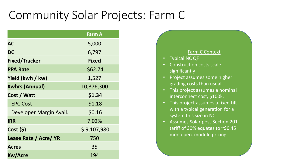### Community Solar Projects: Farm C

|                              | <b>Farm A</b> |
|------------------------------|---------------|
| <b>AC</b>                    | 5,000         |
| <b>DC</b>                    | 6,797         |
| <b>Fixed/Tracker</b>         | <b>Fixed</b>  |
| <b>PPA Rate</b>              | \$62.74       |
| Yield (kwh / kw)             | 1,527         |
| <b>Kwhrs (Annual)</b>        | 10,376,300    |
| Cost / Watt                  | \$1.34        |
| <b>EPC Cost</b>              | \$1.18        |
| Developer Margin Avail.      | \$0.16        |
| <b>IRR</b>                   | 7.02%         |
| Cost(5)                      | \$9,107,980   |
| <b>Lease Rate / Acre/ YR</b> | 750           |
| <b>Acres</b>                 | 35            |
| <b>Kw/Acre</b>               | 194           |

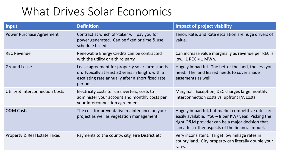### What Drives Solar Economics

| <b>Input</b>                               | <b>Definition</b>                                                                                                                                                   | <b>Impact of project viability</b>                                                                                                                                                                                      |
|--------------------------------------------|---------------------------------------------------------------------------------------------------------------------------------------------------------------------|-------------------------------------------------------------------------------------------------------------------------------------------------------------------------------------------------------------------------|
| <b>Power Purchase Agreement</b>            | Contract at which off-taker will pay you for<br>power generated. Can be fixed or time & use<br>schedule based                                                       | Tenor, Rate, and Rate escalation are huge drivers of<br>value.                                                                                                                                                          |
| <b>REC Revenue</b>                         | Renewable Energy Credits can be contracted<br>with the utility or a third party.                                                                                    | Can increase value marginally as revenue per REC is<br>low. $1$ REC = 1 MWh.                                                                                                                                            |
| <b>Ground Lease</b>                        | Lease agreement for property solar farm stands<br>on. Typically at least 30 years in length, with a<br>escalating rate annually after a short fixed rate<br>period. | Hugely impactful. The better the land, the less you<br>need. The land leased needs to cover shade<br>easements as well.                                                                                                 |
| <b>Utility &amp; Interconnection Costs</b> | Electricity costs to run inverters, costs to<br>administer your account and monthly costs per<br>your Interconnection agreement.                                    | Marginal. Exception, DEC charges large monthly<br>interconnection costs vs. upfront I/A costs.                                                                                                                          |
| <b>O&amp;M Costs</b>                       | The cost for preventative maintenance on your<br>project as well as vegetation management.                                                                          | Hugely impactful, but market competitive rates are<br>easily available. $\sim$ \$6 – 8 per KW/ year. Picking the<br>right O&M provider can be a major decision that<br>can affect other aspects of the financial model. |
| <b>Property &amp; Real Estate Taxes</b>    | Payments to the county, city, Fire District etc                                                                                                                     | Very inconsistent. Target low millage rates in<br>county land. City property can literally double your<br>rates.                                                                                                        |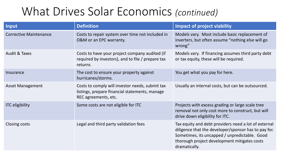### What Drives Solar Economics (continued)

| Input                         | <b>Definition</b>                                                                                                         | <b>Impact of project viability</b>                                                                                                                                                                                             |
|-------------------------------|---------------------------------------------------------------------------------------------------------------------------|--------------------------------------------------------------------------------------------------------------------------------------------------------------------------------------------------------------------------------|
| <b>Corrective Maintenance</b> | Costs to repair system over time not included in<br>O&M or an EPC warranty.                                               | Models vary. Most include basic replacement of<br>inverters, but often assume "nothing else will go<br>wrong"                                                                                                                  |
| <b>Audit &amp; Taxes</b>      | Costs to have your project company audited (if<br>required by investors), and to file / prepare tax<br>returns            | Models vary. If financing assumes third party debt<br>or tax equity, these will be required.                                                                                                                                   |
| Insurance                     | The cost to ensure your property against<br>hurricanes/storms.                                                            | You get what you pay for here.                                                                                                                                                                                                 |
| <b>Asset Management</b>       | Costs to comply will investor needs, submit tax<br>listings, prepare financial statements, manage<br>REC agreements, etc. | Usually an internal costs, but can be outsourced.                                                                                                                                                                              |
| <b>ITC</b> eligibility        | Some costs are not eligible for ITC                                                                                       | Projects with excess grading or large scale tree<br>removal not only cost more to construct, but will<br>drive down eligibility for ITC.                                                                                       |
| Closing costs                 | Legal and third party validation fees                                                                                     | Tax equity and debt providers need a lot of external<br>diligence that the developer/sponsor has to pay for.<br>Sometimes, its uncapped / unpredictable. Good<br>thorough project development mitigates costs<br>dramatically. |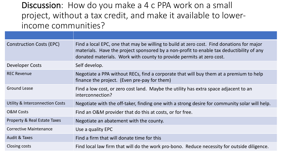Discussion: How do you make a 4 c PPA work on a small project, without a tax credit, and make it available to lowerincome communities?

| <b>Construction Costs (EPC)</b>            | Find a local EPC, one that may be willing to build at zero cost. Find donations for major<br>materials. Have the project sponsored by a non-profit to enable tax deductibility of any<br>donated materials. Work with county to provide permits at zero cost. |
|--------------------------------------------|---------------------------------------------------------------------------------------------------------------------------------------------------------------------------------------------------------------------------------------------------------------|
| Developer Costs                            | Self develop.                                                                                                                                                                                                                                                 |
| <b>REC Revenue</b>                         | Negotiate a PPA without RECs, find a corporate that will buy them at a premium to help<br>finance the project. (Even pre-pay for them)                                                                                                                        |
| <b>Ground Lease</b>                        | Find a low cost, or zero cost land. Maybe the utility has extra space adjacent to an<br>interconnection?                                                                                                                                                      |
| <b>Utility &amp; Interconnection Costs</b> | Negotiate with the off-taker, finding one with a strong desire for community solar will help.                                                                                                                                                                 |
| <b>O&amp;M Costs</b>                       | Find an O&M provider that do this at costs, or for free.                                                                                                                                                                                                      |
| <b>Property &amp; Real Estate Taxes</b>    | Negotiate an abatement with the county.                                                                                                                                                                                                                       |
| <b>Corrective Maintenance</b>              | Use a quality EPC                                                                                                                                                                                                                                             |
| <b>Audit &amp; Taxes</b>                   | Find a firm that will donate time for this                                                                                                                                                                                                                    |
| Closing costs                              | Find local law firm that will do the work pro-bono. Reduce necessity for outside diligence.                                                                                                                                                                   |